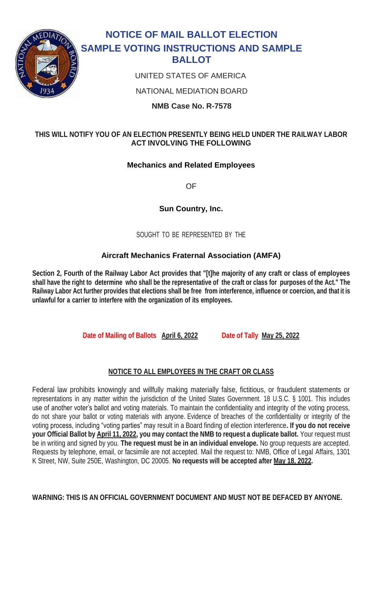

# **NOTICE OF MAIL BALLOT ELECTION SAMPLE VOTING INSTRUCTIONS AND SAMPLE BALLOT**

UNITED STATES OF AMERICA

NATIONAL MEDIATION BOARD

**NMB Case No. R-7578**

# **THIS WILL NOTIFY YOU OF AN ELECTION PRESENTLY BEING HELD UNDER THE RAILWAY LABOR ACT INVOLVING THE FOLLOWING**

# **Mechanics and Related Employees**

OF

**Sun Country, Inc.**

SOUGHT TO BE REPRESENTED BY THE

# **Aircraft Mechanics Fraternal Association (AMFA)**

**Section 2, Fourth of the Railway Labor Act provides that "[t]he majority of any craft or class of employees shall have the right to determine who shall be the representative of the craft or class for purposes of the Act." The Railway Labor Act further provides that elections shall be free from interference, influence or coercion, and that it is unlawful for a carrier to interfere with the organization of its employees.**

**Date of Mailing of Ballots April 6, 2022 Date of Tally May 25, 2022**

## **NOTICE TO ALL EMPLOYEES IN THE CRAFT OR CLASS**

Federal law prohibits knowingly and willfully making materially false, fictitious, or fraudulent statements or representations in any matter within the jurisdiction of the United States Government. 18 U.S.C. § 1001. This includes use of another voter's ballot and voting materials. To maintain the confidentiality and integrity of the voting process, do not share your ballot or voting materials with anyone. Evidence of breaches of the confidentiality or integrity of the voting process, including "voting parties" may result in a Board finding of election interference**. If you do not receive your Official Ballot by April 11, 2022, you may contact the NMB to request a duplicate ballot.** Your request must be in writing and signed by you. **The request must be in an individual envelope.** No group requests are accepted. Requests by telephone, email, or facsimile are not accepted. Mail the request to: NMB, Office of Legal Affairs, 1301 K Street, NW, Suite 250E, Washington, DC 20005. **No requests will be accepted after May 18, 2022.**

#### **WARNING: THIS IS AN OFFICIAL GOVERNMENT DOCUMENT AND MUST NOT BE DEFACED BY ANYONE.**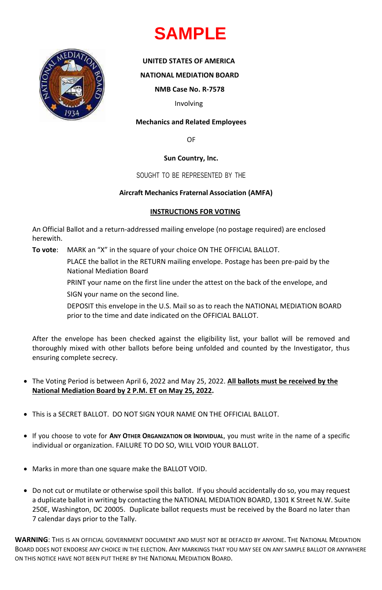



**WARNING**: THIS IS AN OFFICIAL GOVERNMENT DOCUMENT AND MUST NOT BE DEFACED BY ANYONE. THE NATIONAL MEDIATION BOARD DOES NOT ENDORSE ANY CHOICE IN THE ELECTION. ANY MARKINGS THAT YOU MAY SEE ON ANY SAMPLE BALLOT OR ANYWHERE ON THIS NOTICE HAVE NOT BEEN PUT THERE BY THE NATIONAL MEDIATION BOARD.

#### **UNITED STATES OF AMERICA**

**NATIONAL MEDIATION BOARD**

**NMB Case No. R-7578**

Involving

#### **Mechanics and Related Employees**

OF

**Sun Country, Inc.**

## SOUGHT TO BE REPRESENTED BY THE

## **Aircraft Mechanics Fraternal Association (AMFA)**

## **INSTRUCTIONS FOR VOTING**

An Official Ballot and a return-addressed mailing envelope (no postage required) are enclosed herewith.

**To vote**: MARK an "X" in the square of your choice ON THE OFFICIAL BALLOT.

PLACE the ballot in the RETURN mailing envelope. Postage has been pre-paid by the National Mediation Board

PRINT your name on the first line under the attest on the back of the envelope, and SIGN your name on the second line.

DEPOSIT this envelope in the U.S. Mail so as to reach the NATIONAL MEDIATION BOARD prior to the time and date indicated on the OFFICIAL BALLOT.

After the envelope has been checked against the eligibility list, your ballot will be removed and thoroughly mixed with other ballots before being unfolded and counted by the Investigator, thus ensuring complete secrecy.

- The Voting Period is between April 6, 2022 and May 25, 2022. **All ballots must be received by the National Mediation Board by 2 P.M. ET on May 25, 2022.**
- This is a SECRET BALLOT. DO NOT SIGN YOUR NAME ON THE OFFICIAL BALLOT.

- If you choose to vote for **ANY OTHER ORGANIZATION OR INDIVIDUAL**, you must write in the name of a specific individual or organization. FAILURE TO DO SO, WILL VOID YOUR BALLOT.
- Marks in more than one square make the BALLOT VOID.
- Do not cut or mutilate or otherwise spoil this ballot. If you should accidentally do so, you may request a duplicate ballot in writing by contacting the NATIONAL MEDIATION BOARD, 1301 K Street N.W. Suite 250E, Washington, DC 20005. Duplicate ballot requests must be received by the Board no later than 7 calendar days prior to the Tally.